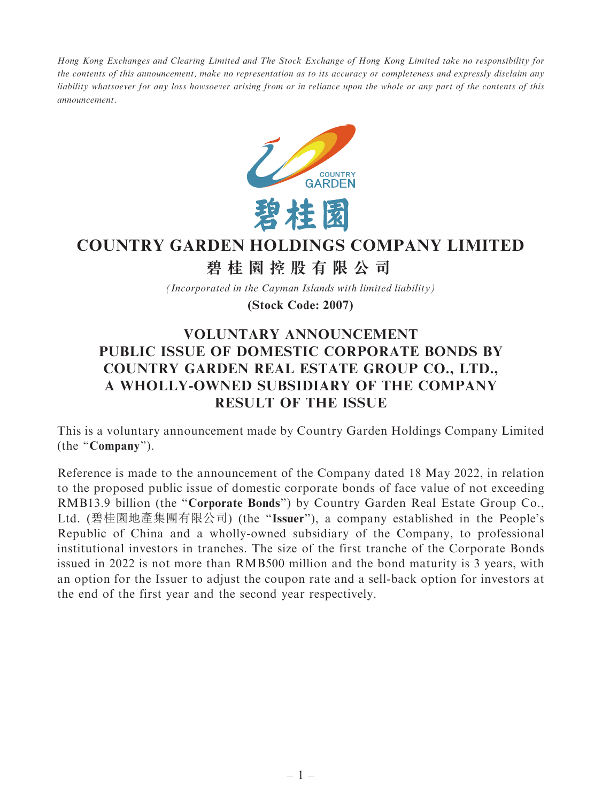Hong Kong Exchanges and Clearing Limited and The Stock Exchange of Hong Kong Limited take no responsibility for the contents of this announcement, make no representation as to its accuracy or completeness and expressly disclaim any liability whatsoever for any loss howsoever arising from or in reliance upon the whole or any part of the contents of this announcement.



## **COUNTRY GARDEN HOLDINGS COMPANY LIMITED**

**碧桂園控股有限公司**

*(Incorporated in the Cayman Islands with limited liability)*

**(Stock Code: 2007)**

## VOLUNTARY ANNOUNCEMENT PUBLIC ISSUE OF DOMESTIC CORPORATE BONDS BY COUNTRY GARDEN REAL ESTATE GROUP CO., LTD., A WHOLLY-OWNED SUBSIDIARY OF THE COMPANY RESULT OF THE ISSUE

This is a voluntary announcement made by Country Garden Holdings Company Limited (the ''Company'').

Reference is made to the announcement of the Company dated 18 May 2022, in relation to the proposed public issue of domestic corporate bonds of face value of not exceeding RMB13.9 billion (the "Corporate Bonds") by Country Garden Real Estate Group Co., Ltd. (碧桂園地產集團有限公司) (the ''Issuer''), a company established in the People's Republic of China and a wholly-owned subsidiary of the Company, to professional institutional investors in tranches. The size of the first tranche of the Corporate Bonds issued in 2022 is not more than RMB500 million and the bond maturity is 3 years, with an option for the Issuer to adjust the coupon rate and a sell-back option for investors at the end of the first year and the second year respectively.